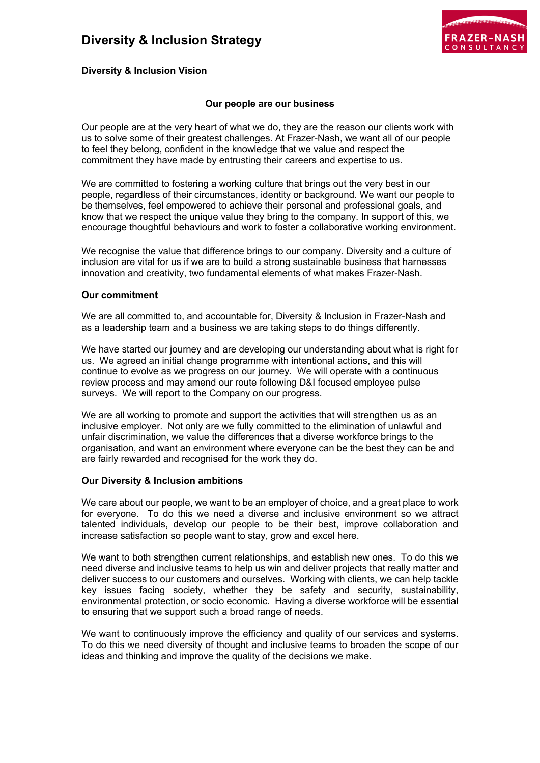# **Diversity & Inclusion Strategy**



# **Diversity & Inclusion Vision**

### **Our people are our business**

Our people are at the very heart of what we do, they are the reason our clients work with us to solve some of their greatest challenges. At Frazer-Nash, we want all of our people to feel they belong, confident in the knowledge that we value and respect the commitment they have made by entrusting their careers and expertise to us.

We are committed to fostering a working culture that brings out the very best in our people, regardless of their circumstances, identity or background. We want our people to be themselves, feel empowered to achieve their personal and professional goals, and know that we respect the unique value they bring to the company. In support of this, we encourage thoughtful behaviours and work to foster a collaborative working environment.

We recognise the value that difference brings to our company. Diversity and a culture of inclusion are vital for us if we are to build a strong sustainable business that harnesses innovation and creativity, two fundamental elements of what makes Frazer-Nash.

#### **Our commitment**

We are all committed to, and accountable for, Diversity & Inclusion in Frazer-Nash and as a leadership team and a business we are taking steps to do things differently.

We have started our journey and are developing our understanding about what is right for us. We agreed an initial change programme with intentional actions, and this will continue to evolve as we progress on our journey. We will operate with a continuous review process and may amend our route following D&I focused employee pulse surveys. We will report to the Company on our progress.

We are all working to promote and support the activities that will strengthen us as an inclusive employer*.* Not only are we fully committed to the elimination of unlawful and unfair discrimination, we value the differences that a diverse workforce brings to the organisation, and want an environment where everyone can be the best they can be and are fairly rewarded and recognised for the work they do.

#### **Our Diversity & Inclusion ambitions**

We care about our people, we want to be an employer of choice, and a great place to work for everyone. To do this we need a diverse and inclusive environment so we attract talented individuals, develop our people to be their best, improve collaboration and increase satisfaction so people want to stay, grow and excel here.

We want to both strengthen current relationships, and establish new ones. To do this we need diverse and inclusive teams to help us win and deliver projects that really matter and deliver success to our customers and ourselves. Working with clients, we can help tackle key issues facing society, whether they be safety and security, sustainability, environmental protection, or socio economic. Having a diverse workforce will be essential to ensuring that we support such a broad range of needs.

We want to continuously improve the efficiency and quality of our services and systems. To do this we need diversity of thought and inclusive teams to broaden the scope of our ideas and thinking and improve the quality of the decisions we make.